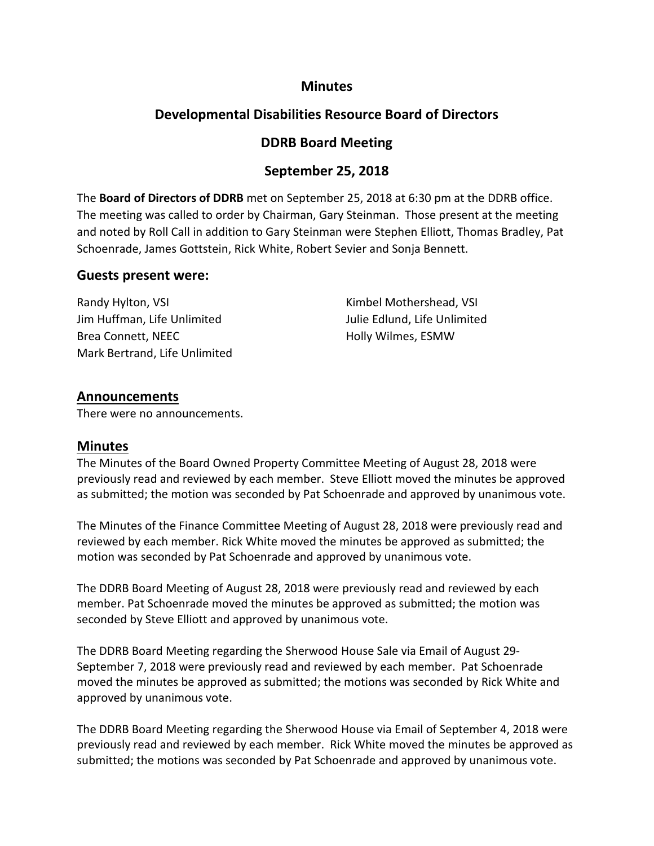# **Minutes**

# **Developmental Disabilities Resource Board of Directors**

# **DDRB Board Meeting**

# **September 25, 2018**

The **Board of Directors of DDRB** met on September 25, 2018 at 6:30 pm at the DDRB office. The meeting was called to order by Chairman, Gary Steinman. Those present at the meeting and noted by Roll Call in addition to Gary Steinman were Stephen Elliott, Thomas Bradley, Pat Schoenrade, James Gottstein, Rick White, Robert Sevier and Sonja Bennett.

### **Guests present were:**

Randy Hylton, VSI **Randy Hylton, VSI Kimbel Mothershead, VSI** Jim Huffman, Life Unlimited Julie Edlund, Life Unlimited Brea Connett, NEEC **Holly Wilmes, ESMW** Mark Bertrand, Life Unlimited

# **Announcements**

There were no announcements.

### **Minutes**

The Minutes of the Board Owned Property Committee Meeting of August 28, 2018 were previously read and reviewed by each member. Steve Elliott moved the minutes be approved as submitted; the motion was seconded by Pat Schoenrade and approved by unanimous vote.

The Minutes of the Finance Committee Meeting of August 28, 2018 were previously read and reviewed by each member. Rick White moved the minutes be approved as submitted; the motion was seconded by Pat Schoenrade and approved by unanimous vote.

The DDRB Board Meeting of August 28, 2018 were previously read and reviewed by each member. Pat Schoenrade moved the minutes be approved as submitted; the motion was seconded by Steve Elliott and approved by unanimous vote.

The DDRB Board Meeting regarding the Sherwood House Sale via Email of August 29- September 7, 2018 were previously read and reviewed by each member. Pat Schoenrade moved the minutes be approved as submitted; the motions was seconded by Rick White and approved by unanimous vote.

The DDRB Board Meeting regarding the Sherwood House via Email of September 4, 2018 were previously read and reviewed by each member. Rick White moved the minutes be approved as submitted; the motions was seconded by Pat Schoenrade and approved by unanimous vote.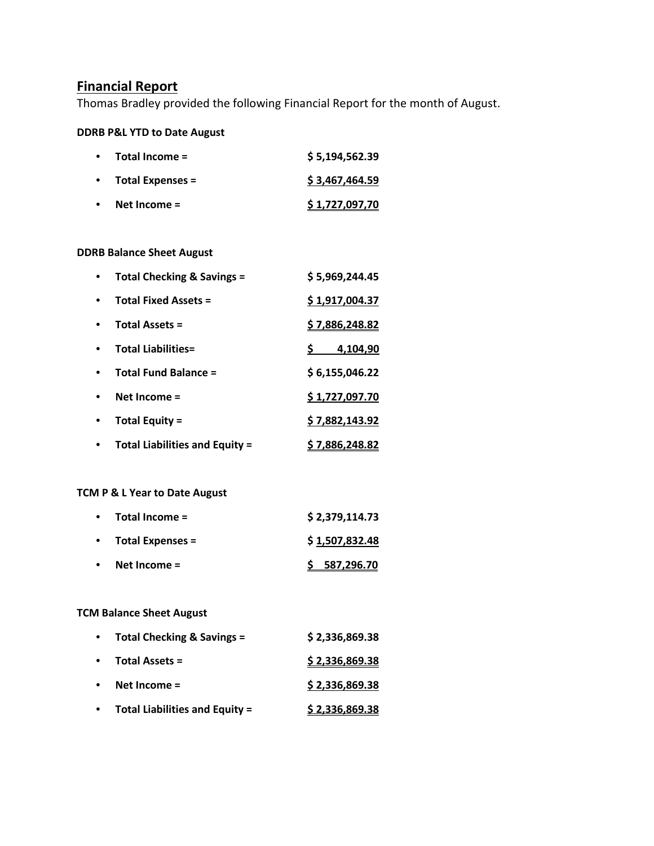# **Financial Report**

Thomas Bradley provided the following Financial Report for the month of August.

### **DDRB P&L YTD to Date August**

| Total Income =          | \$5,194,562.39 |
|-------------------------|----------------|
| <b>Total Expenses =</b> | \$3,467,464.59 |
| Net Income $=$          | \$1,727,097,70 |

#### **DDRB Balance Sheet August**

| Total Checking & Savings =            | \$5,969,244.45        |
|---------------------------------------|-----------------------|
| <b>Total Fixed Assets =</b>           | \$1,917,004.37        |
| <b>Total Assets =</b>                 | <u>\$7,886,248.82</u> |
| <b>Total Liabilities=</b>             | 4,104,90              |
| <b>Total Fund Balance =</b>           | \$6,155,046.22        |
| Net Income $=$                        | \$1,727,097.70        |
| <b>Total Equity =</b>                 | \$7,882,143.92        |
| <b>Total Liabilities and Equity =</b> | 7,886,248.82          |

#### **TCM P & L Year to Date August**

| $\bullet$ | Total Income =          | \$2,379,114.73 |
|-----------|-------------------------|----------------|
| $\bullet$ | <b>Total Expenses =</b> | \$1,507,832.48 |
| $\bullet$ | Net Income $=$          | \$587,296.70   |

### **TCM Balance Sheet August**

| $\bullet$ | Total Checking & Savings =            | \$2,336,869.38        |
|-----------|---------------------------------------|-----------------------|
| $\bullet$ | <b>Total Assets =</b>                 | \$2,336,869.38        |
|           | Net Income $=$                        | \$2,336,869.38        |
|           | <b>Total Liabilities and Equity =</b> | <u>\$2,336,869.38</u> |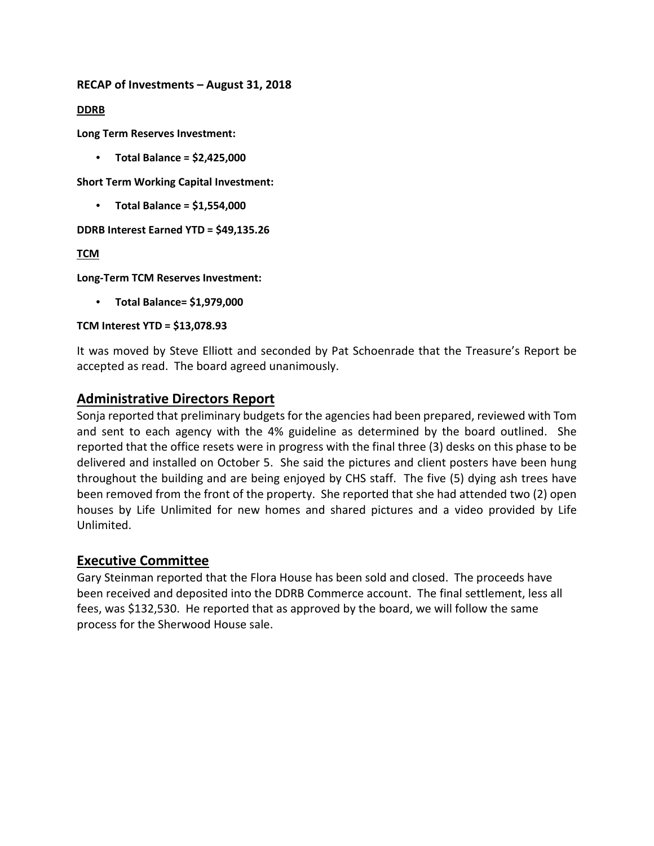**RECAP of Investments – August 31, 2018**

**DDRB**

**Long Term Reserves Investment:**

• **Total Balance = \$2,425,000**

**Short Term Working Capital Investment:** 

• **Total Balance = \$1,554,000**

**DDRB Interest Earned YTD = \$49,135.26**

**TCM**

**Long-Term TCM Reserves Investment:**

• **Total Balance= \$1,979,000**

**TCM Interest YTD = \$13,078.93**

It was moved by Steve Elliott and seconded by Pat Schoenrade that the Treasure's Report be accepted as read. The board agreed unanimously.

# **Administrative Directors Report**

Sonja reported that preliminary budgets for the agencies had been prepared, reviewed with Tom and sent to each agency with the 4% guideline as determined by the board outlined. She reported that the office resets were in progress with the final three (3) desks on this phase to be delivered and installed on October 5. She said the pictures and client posters have been hung throughout the building and are being enjoyed by CHS staff. The five (5) dying ash trees have been removed from the front of the property. She reported that she had attended two (2) open houses by Life Unlimited for new homes and shared pictures and a video provided by Life Unlimited.

### **Executive Committee**

Gary Steinman reported that the Flora House has been sold and closed. The proceeds have been received and deposited into the DDRB Commerce account. The final settlement, less all fees, was \$132,530. He reported that as approved by the board, we will follow the same process for the Sherwood House sale.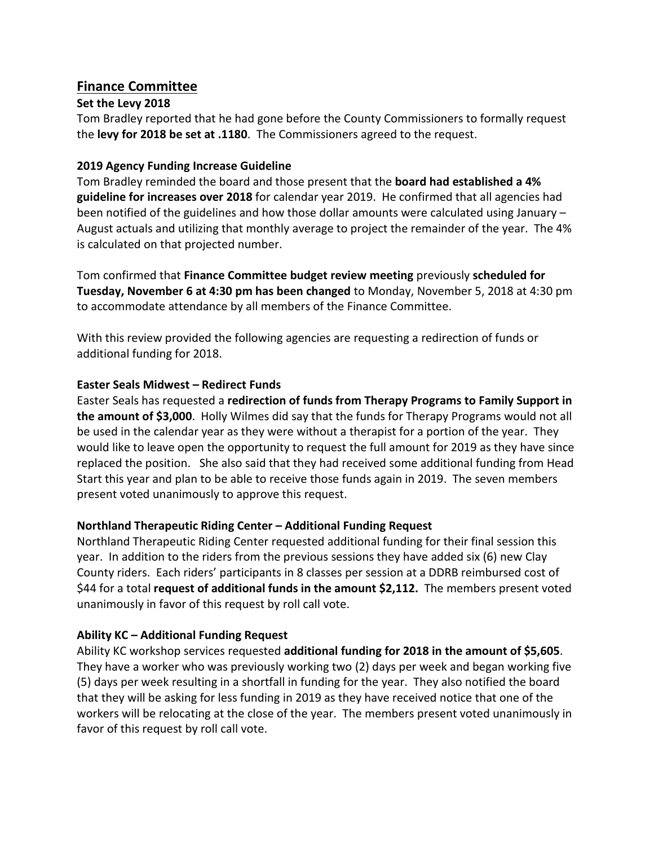# **Finance Committee**

### **Set the Levy 2018**

Tom Bradley reported that he had gone before the County Commissioners to formally request the **levy for 2018 be set at .1180**. The Commissioners agreed to the request.

### **2019 Agency Funding Increase Guideline**

Tom Bradley reminded the board and those present that the **board had established a 4% guideline for increases over 2018** for calendar year 2019. He confirmed that all agencies had been notified of the guidelines and how those dollar amounts were calculated using January – August actuals and utilizing that monthly average to project the remainder of the year. The 4% is calculated on that projected number.

Tom confirmed that **Finance Committee budget review meeting** previously **scheduled for Tuesday, November 6 at 4:30 pm has been changed** to Monday, November 5, 2018 at 4:30 pm to accommodate attendance by all members of the Finance Committee.

With this review provided the following agencies are requesting a redirection of funds or additional funding for 2018.

### **Easter Seals Midwest – Redirect Funds**

Easter Seals has requested a **redirection of funds from Therapy Programs to Family Support in the amount of \$3,000**. Holly Wilmes did say that the funds for Therapy Programs would not all be used in the calendar year as they were without a therapist for a portion of the year. They would like to leave open the opportunity to request the full amount for 2019 as they have since replaced the position. She also said that they had received some additional funding from Head Start this year and plan to be able to receive those funds again in 2019. The seven members present voted unanimously to approve this request.

### **Northland Therapeutic Riding Center – Additional Funding Request**

Northland Therapeutic Riding Center requested additional funding for their final session this year. In addition to the riders from the previous sessions they have added six (6) new Clay County riders. Each riders' participants in 8 classes per session at a DDRB reimbursed cost of \$44 for a total **request of additional funds in the amount \$2,112.** The members present voted unanimously in favor of this request by roll call vote.

### **Ability KC – Additional Funding Request**

Ability KC workshop services requested **additional funding for 2018 in the amount of \$5,605**. They have a worker who was previously working two (2) days per week and began working five (5) days per week resulting in a shortfall in funding for the year. They also notified the board that they will be asking for less funding in 2019 as they have received notice that one of the workers will be relocating at the close of the year. The members present voted unanimously in favor of this request by roll call vote.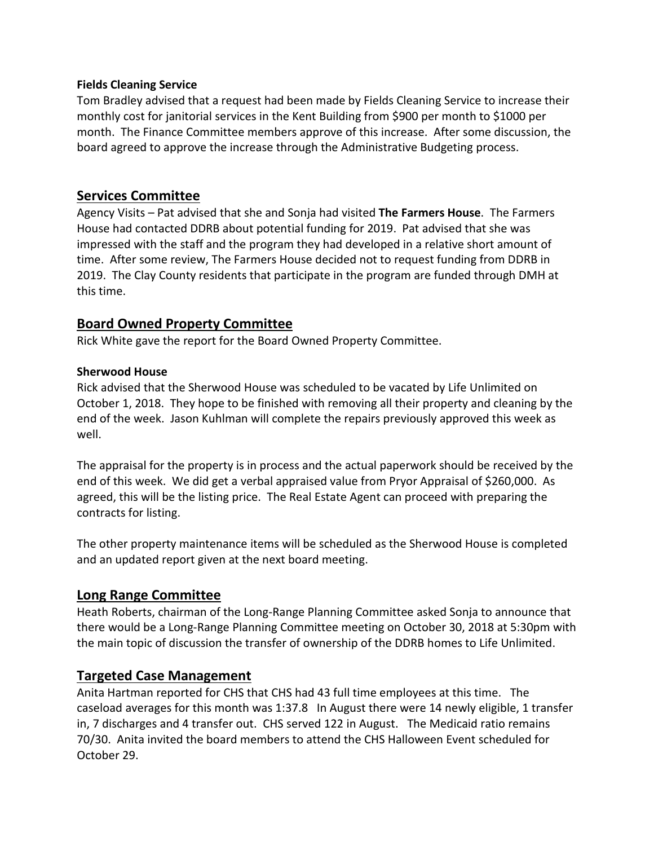#### **Fields Cleaning Service**

Tom Bradley advised that a request had been made by Fields Cleaning Service to increase their monthly cost for janitorial services in the Kent Building from \$900 per month to \$1000 per month. The Finance Committee members approve of this increase. After some discussion, the board agreed to approve the increase through the Administrative Budgeting process.

## **Services Committee**

Agency Visits – Pat advised that she and Sonja had visited **The Farmers House**. The Farmers House had contacted DDRB about potential funding for 2019. Pat advised that she was impressed with the staff and the program they had developed in a relative short amount of time. After some review, The Farmers House decided not to request funding from DDRB in 2019. The Clay County residents that participate in the program are funded through DMH at this time.

# **Board Owned Property Committee**

Rick White gave the report for the Board Owned Property Committee.

#### **Sherwood House**

Rick advised that the Sherwood House was scheduled to be vacated by Life Unlimited on October 1, 2018. They hope to be finished with removing all their property and cleaning by the end of the week. Jason Kuhlman will complete the repairs previously approved this week as well.

The appraisal for the property is in process and the actual paperwork should be received by the end of this week. We did get a verbal appraised value from Pryor Appraisal of \$260,000. As agreed, this will be the listing price. The Real Estate Agent can proceed with preparing the contracts for listing.

The other property maintenance items will be scheduled as the Sherwood House is completed and an updated report given at the next board meeting.

# **Long Range Committee**

Heath Roberts, chairman of the Long-Range Planning Committee asked Sonja to announce that there would be a Long-Range Planning Committee meeting on October 30, 2018 at 5:30pm with the main topic of discussion the transfer of ownership of the DDRB homes to Life Unlimited.

### **Targeted Case Management**

Anita Hartman reported for CHS that CHS had 43 full time employees at this time. The caseload averages for this month was 1:37.8 In August there were 14 newly eligible, 1 transfer in, 7 discharges and 4 transfer out. CHS served 122 in August. The Medicaid ratio remains 70/30. Anita invited the board members to attend the CHS Halloween Event scheduled for October 29.